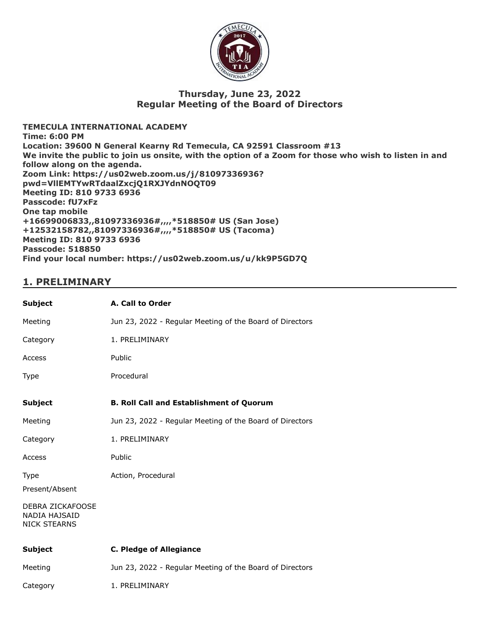

## **Thursday, June 23, 2022 Regular Meeting of the Board of Directors**

**TEMECULA INTERNATIONAL ACADEMY Time: 6:00 PM Location: 39600 N General Kearny Rd Temecula, CA 92591 Classroom #13 We invite the public to join us onsite, with the option of a Zoom for those who wish to listen in and follow along on the agenda. Zoom Link: https://us02web.zoom.us/j/81097336936? pwd=VllEMTYwRTdaalZxcjQ1RXJYdnNOQT09 Meeting ID: 810 9733 6936 Passcode: fU7xFz One tap mobile +16699006833,,81097336936#,,,,\*518850# US (San Jose) +12532158782,,81097336936#,,,,\*518850# US (Tacoma) Meeting ID: 810 9733 6936 Passcode: 518850 Find your local number: https://us02web.zoom.us/u/kk9P5GD7Q**

## **1. PRELIMINARY**

| <b>Subject</b>                                           | A. Call to Order                                         |
|----------------------------------------------------------|----------------------------------------------------------|
| Meeting                                                  | Jun 23, 2022 - Regular Meeting of the Board of Directors |
| Category                                                 | 1. PRELIMINARY                                           |
| Access                                                   | Public                                                   |
| <b>Type</b>                                              | Procedural                                               |
| <b>Subject</b>                                           | <b>B. Roll Call and Establishment of Quorum</b>          |
| Meeting                                                  | Jun 23, 2022 - Regular Meeting of the Board of Directors |
| Category                                                 | 1. PRELIMINARY                                           |
| Access                                                   | Public                                                   |
| <b>Type</b>                                              | Action, Procedural                                       |
| Present/Absent                                           |                                                          |
| DEBRA ZICKAFOOSE<br>NADIA HAJSAID<br><b>NICK STEARNS</b> |                                                          |
| <b>Subject</b>                                           | <b>C. Pledge of Allegiance</b>                           |
| Meeting                                                  | Jun 23, 2022 - Regular Meeting of the Board of Directors |
| Category                                                 | 1. PRELIMINARY                                           |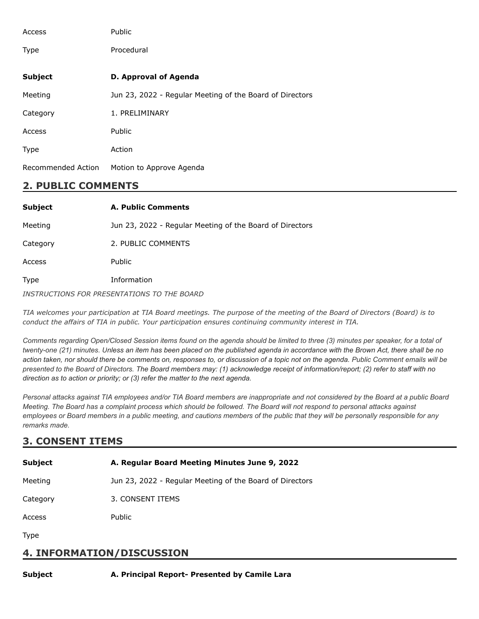| Access             | Public                                                   |
|--------------------|----------------------------------------------------------|
| <b>Type</b>        | Procedural                                               |
| <b>Subject</b>     | D. Approval of Agenda                                    |
| Meeting            | Jun 23, 2022 - Regular Meeting of the Board of Directors |
| Category           | 1. PRELIMINARY                                           |
| Access             | <b>Public</b>                                            |
| <b>Type</b>        | Action                                                   |
| Recommended Action | Motion to Approve Agenda                                 |

## **2. PUBLIC COMMENTS**

| <b>Subject</b>                              | A. Public Comments                                       |
|---------------------------------------------|----------------------------------------------------------|
| Meeting                                     | Jun 23, 2022 - Regular Meeting of the Board of Directors |
| Category                                    | 2. PUBLIC COMMENTS                                       |
| Access                                      | Public                                                   |
| <b>Type</b>                                 | Information                                              |
| INSTRUCTIONS FOR PRESENTATIONS TO THE BOARD |                                                          |

TIA welcomes your participation at TIA Board meetings. The purpose of the meeting of the Board of Directors (Board) is to *conduct the affairs of TIA in public. Your participation ensures continuing community interest in TIA.*

*Comments regarding Open/Closed Session items found on the agenda should be limited to three (3) minutes per speaker, for a total of twenty-one (21) minutes. Unless an item has been placed on the published agenda in accordance with the Brown Act, there shall be no action taken, nor should there be comments on, responses to, or discussion of a topic not on the agenda. Public Comment emails will be presented to the Board of Directors. The Board members may: (1) acknowledge receipt of information/report; (2) refer to staff with no direction as to action or priority; or (3) refer the matter to the next agenda.*

*Personal attacks against TIA employees and/or TIA Board members are inappropriate and not considered by the Board at a public Board Meeting. The Board has a complaint process which should be followed. The Board will not respond to personal attacks against employees or Board members in a public meeting, and cautions members of the public that they will be personally responsible for any remarks made.*

## **3. CONSENT ITEMS**

| <b>Subject</b> | A. Regular Board Meeting Minutes June 9, 2022            |
|----------------|----------------------------------------------------------|
| Meeting        | Jun 23, 2022 - Regular Meeting of the Board of Directors |
| Category       | 3. CONSENT ITEMS                                         |
| Access         | <b>Public</b>                                            |
| <b>Type</b>    |                                                          |

## **4. INFORMATION/DISCUSSION**

#### **Subject A. Principal Report- Presented by Camile Lara**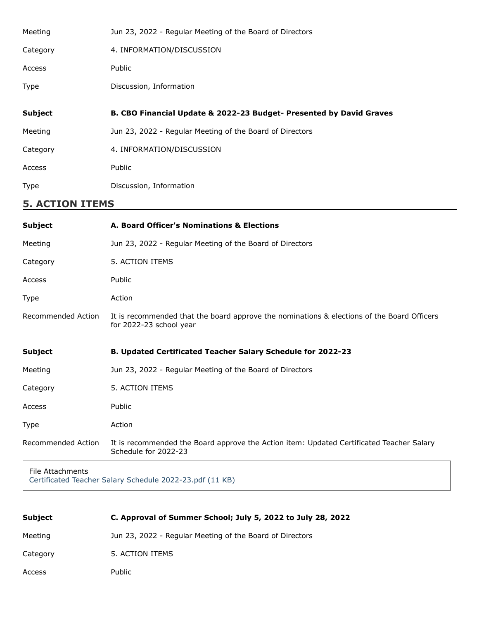| Jun 23, 2022 - Regular Meeting of the Board of Directors            |
|---------------------------------------------------------------------|
| 4. INFORMATION/DISCUSSION                                           |
| Public                                                              |
| Discussion, Information                                             |
|                                                                     |
|                                                                     |
| B. CBO Financial Update & 2022-23 Budget- Presented by David Graves |
| Jun 23, 2022 - Regular Meeting of the Board of Directors            |
| 4. INFORMATION/DISCUSSION                                           |
| Public                                                              |
|                                                                     |

# **5. ACTION ITEMS**

| <b>Subject</b>     | A. Board Officer's Nominations & Elections                                                                            |
|--------------------|-----------------------------------------------------------------------------------------------------------------------|
| Meeting            | Jun 23, 2022 - Regular Meeting of the Board of Directors                                                              |
| Category           | 5. ACTION ITEMS                                                                                                       |
| Access             | Public                                                                                                                |
| <b>Type</b>        | Action                                                                                                                |
| Recommended Action | It is recommended that the board approve the nominations & elections of the Board Officers<br>for 2022-23 school year |
| <b>Subject</b>     | B. Updated Certificated Teacher Salary Schedule for 2022-23                                                           |
| Meeting            | Jun 23, 2022 - Regular Meeting of the Board of Directors                                                              |
| Category           | 5. ACTION ITEMS                                                                                                       |
| Access             | Public                                                                                                                |
| <b>Type</b>        | Action                                                                                                                |
| Recommended Action | It is recommended the Board approve the Action item: Updated Certificated Teacher Salary<br>Schedule for 2022-23      |
|                    |                                                                                                                       |

File Attachments [Certificated Teacher Salary Schedule 2022-23.pdf \(11 KB\)](https://go.boarddocs.com/ca/tia/Board.nsf/files/CFKS3Z70B3BD/$file/Certificated%20Teacher%20Salary%20Schedule%202022-23.pdf)

| <b>Subject</b> | C. Approval of Summer School; July 5, 2022 to July 28, 2022 |
|----------------|-------------------------------------------------------------|
| Meeting        | Jun 23, 2022 - Regular Meeting of the Board of Directors    |
| Category       | 5. ACTION ITEMS                                             |
| Access         | <b>Public</b>                                               |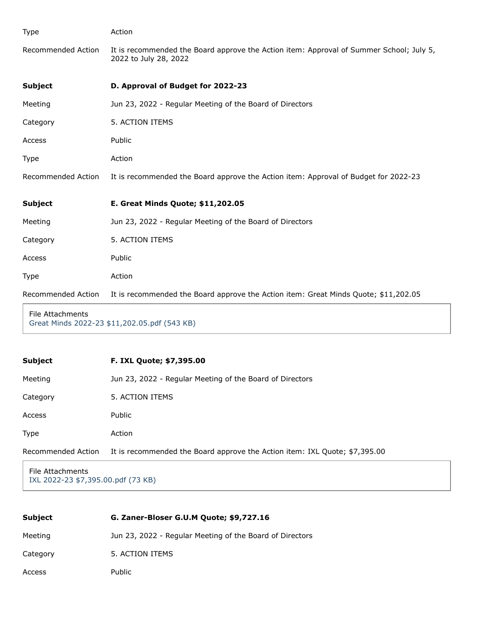| Type               | Action                                                                                                           |
|--------------------|------------------------------------------------------------------------------------------------------------------|
| Recommended Action | It is recommended the Board approve the Action item: Approval of Summer School; July 5,<br>2022 to July 28, 2022 |
| <b>Subject</b>     | D. Approval of Budget for 2022-23                                                                                |
| Meeting            | Jun 23, 2022 - Regular Meeting of the Board of Directors                                                         |
| Category           | 5. ACTION ITEMS                                                                                                  |
| Access             | Public                                                                                                           |
| Type               | Action                                                                                                           |
| Recommended Action | It is recommended the Board approve the Action item: Approval of Budget for 2022-23                              |
| <b>Subject</b>     | E. Great Minds Quote; \$11,202.05                                                                                |
| Meeting            | Jun 23, 2022 - Regular Meeting of the Board of Directors                                                         |
| Category           | 5. ACTION ITEMS                                                                                                  |
| Access             | Public                                                                                                           |
| Type               | Action                                                                                                           |
| Recommended Action | It is recommended the Board approve the Action item: Great Minds Quote; \$11,202.05                              |
|                    |                                                                                                                  |

File Attachments [Great Minds 2022-23 \\$11,202.05.pdf \(543 KB\)](https://go.boarddocs.com/ca/tia/Board.nsf/files/CFKNVM61C9CA/$file/Great%20Minds%202022-23%20%2411%2C202.05.pdf)

| <b>Subject</b>     | <b>F. IXL Quote; \$7,395.00</b>                                            |
|--------------------|----------------------------------------------------------------------------|
| Meeting            | Jun 23, 2022 - Regular Meeting of the Board of Directors                   |
| Category           | 5. ACTION ITEMS                                                            |
| Access             | Public                                                                     |
| <b>Type</b>        | Action                                                                     |
| Recommended Action | It is recommended the Board approve the Action item: IXL Quote; \$7,395.00 |
|                    |                                                                            |

File Attachments [IXL 2022-23 \\$7,395.00.pdf \(73 KB\)](https://go.boarddocs.com/ca/tia/Board.nsf/files/CFKNX76204D1/$file/IXL%202022-23%20%247%2C395.00.pdf)

| <b>Subject</b> | G. Zaner-Bloser G.U.M Quote; \$9,727.16                  |
|----------------|----------------------------------------------------------|
| Meeting        | Jun 23, 2022 - Regular Meeting of the Board of Directors |
| Category       | 5. ACTION ITEMS                                          |
| Access         | <b>Public</b>                                            |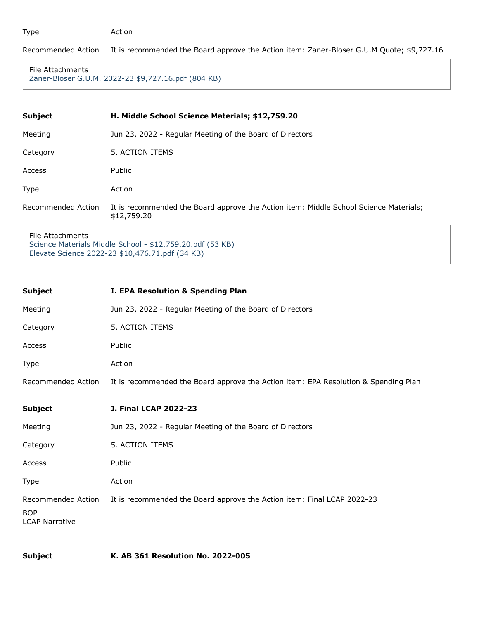#### Type Action

#### Recommended Action It is recommended the Board approve the Action item: Zaner-Bloser G.U.M Quote; \$9,727.16

```
File Attachments
```
[Zaner-Bloser G.U.M. 2022-23 \\$9,727.16.pdf \(804 KB\)](https://go.boarddocs.com/ca/tia/Board.nsf/files/CFKNXP621608/$file/Zaner-Bloser%20G.U.M.%202022-23%20%249%2C727.16.pdf)

| <b>Subject</b>     | H. Middle School Science Materials; \$12,759.20                                                      |
|--------------------|------------------------------------------------------------------------------------------------------|
| Meeting            | Jun 23, 2022 - Regular Meeting of the Board of Directors                                             |
| Category           | 5. ACTION ITEMS                                                                                      |
| Access             | Public                                                                                               |
| Type               | Action                                                                                               |
| Recommended Action | It is recommended the Board approve the Action item: Middle School Science Materials;<br>\$12,759.20 |
|                    |                                                                                                      |

File Attachments [Science Materials Middle School - \\$12,759.20.pdf \(53 KB\)](https://go.boarddocs.com/ca/tia/Board.nsf/files/CFKNY36222F0/$file/Science%20Materials%20Middle%20School%20-%20%2412%2C759.20.pdf) [Elevate Science 2022-23 \\$10,476.71.pdf \(34 KB\)](https://go.boarddocs.com/ca/tia/Board.nsf/files/CFKNY56222F8/$file/Elevate%20Science%202022-23%20%2410%2C476.71.pdf)

| <b>Subject</b>                                            | I. EPA Resolution & Spending Plan                                                   |
|-----------------------------------------------------------|-------------------------------------------------------------------------------------|
| Meeting                                                   | Jun 23, 2022 - Regular Meeting of the Board of Directors                            |
| Category                                                  | 5. ACTION ITEMS                                                                     |
| Access                                                    | Public                                                                              |
| Type                                                      | Action                                                                              |
| Recommended Action                                        | It is recommended the Board approve the Action item: EPA Resolution & Spending Plan |
| <b>Subject</b>                                            | <b>J. Final LCAP 2022-23</b>                                                        |
| Meeting                                                   | Jun 23, 2022 - Regular Meeting of the Board of Directors                            |
| Category                                                  | 5. ACTION ITEMS                                                                     |
| Access                                                    | Public                                                                              |
| Type                                                      | Action                                                                              |
| Recommended Action<br><b>BOP</b><br><b>LCAP Narrative</b> | It is recommended the Board approve the Action item: Final LCAP 2022-23             |

**Subject K. AB 361 Resolution No. 2022-005**